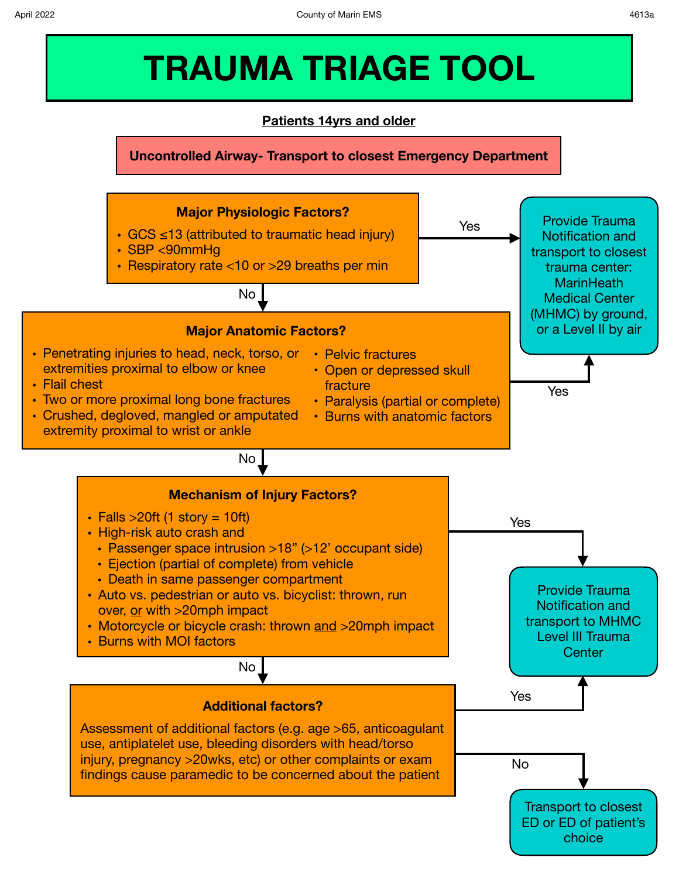# **TRAUMA TRIAGE TOOL**

# **Patients 14yrs and older**

**Uncontrolled Airway- Transport to closest Emergency Department**